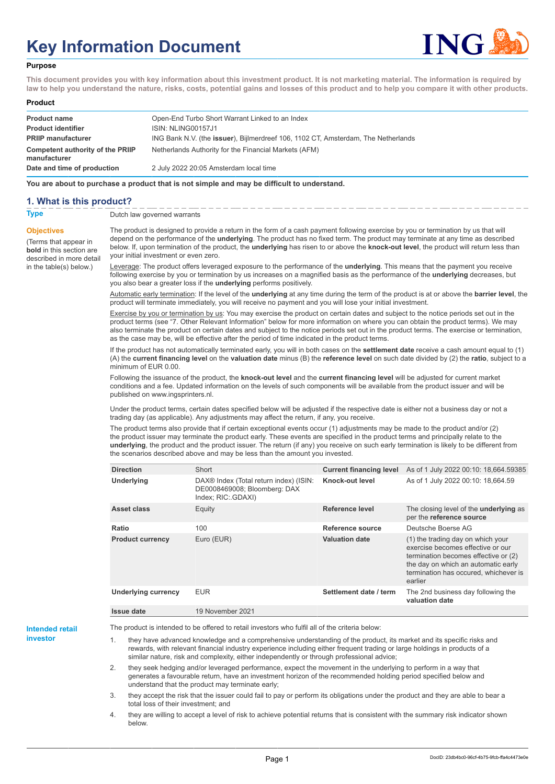# **Key Information Document**



#### **Purpose**

**This document provides you with key information about this investment product. It is not marketing material. The information is required by law to help you understand the nature, risks, costs, potential gains and losses of this product and to help you compare it with other products.**

#### **Product**

| <b>Product name</b><br><b>Product identifier</b> | Open-End Turbo Short Warrant Linked to an Index<br>ISIN: NLING00157J1             |
|--------------------------------------------------|-----------------------------------------------------------------------------------|
| <b>PRIIP manufacturer</b>                        | ING Bank N.V. (the issuer), Bijlmerdreef 106, 1102 CT, Amsterdam, The Netherlands |
| Competent authority of the PRIIP<br>manufacturer | Netherlands Authority for the Financial Markets (AFM)                             |
| Date and time of production                      | 2 July 2022 20:05 Amsterdam local time                                            |

**You are about to purchase a product that is not simple and may be difficult to understand.**

### **1. What is this product?**

**Objectives**

(Terms that appear in **bold** in this section are

in the table(s) below.)

**Type** Dutch law governed warrants

described in more detail The product is designed to provide a return in the form of a cash payment following exercise by you or termination by us that will depend on the performance of the **underlying**. The product has no fixed term. The product may terminate at any time as described below. If, upon termination of the product, the **underlying** has risen to or above the **knock-out level**, the product will return less than your initial investment or even zero.

> Leverage: The product offers leveraged exposure to the performance of the **underlying**. This means that the payment you receive following exercise by you or termination by us increases on a magnified basis as the performance of the **underlying** decreases, but you also bear a greater loss if the **underlying** performs positively.

Automatic early termination: If the level of the **underlying** at any time during the term of the product is at or above the **barrier level**, the product will terminate immediately, you will receive no payment and you will lose your initial investment.

Exercise by you or termination by us: You may exercise the product on certain dates and subject to the notice periods set out in the product terms (see "7. Other Relevant Information" below for more information on where you can obtain the product terms). We may also terminate the product on certain dates and subject to the notice periods set out in the product terms. The exercise or termination, as the case may be, will be effective after the period of time indicated in the product terms.

If the product has not automatically terminated early, you will in both cases on the **settlement date** receive a cash amount equal to (1) (A) the **current financing level** on the **valuation date** minus (B) the **reference level** on such date divided by (2) the **ratio**, subject to a minimum of EUR 0.00.

Following the issuance of the product, the **knock-out level** and the **current financing level** will be adjusted for current market conditions and a fee. Updated information on the levels of such components will be available from the product issuer and will be published on www.ingsprinters.nl.

Under the product terms, certain dates specified below will be adjusted if the respective date is either not a business day or not a trading day (as applicable). Any adjustments may affect the return, if any, you receive.

The product terms also provide that if certain exceptional events occur (1) adjustments may be made to the product and/or (2) the product issuer may terminate the product early. These events are specified in the product terms and principally relate to the **underlying**, the product and the product issuer. The return (if any) you receive on such early termination is likely to be different from the scenarios described above and may be less than the amount you invested.

| <b>Direction</b>           | Short                                                                                                    | <b>Current financing level</b> | As of 1 July 2022 00:10: 18,664.59385                                                                                                                                                                     |
|----------------------------|----------------------------------------------------------------------------------------------------------|--------------------------------|-----------------------------------------------------------------------------------------------------------------------------------------------------------------------------------------------------------|
| <b>Underlying</b>          | DAX <sup>®</sup> Index (Total return index) (ISIN:<br>DE0008469008; Bloomberg: DAX<br>Index; RIC: GDAXI) | Knock-out level                | As of 1 July 2022 00:10: 18,664.59                                                                                                                                                                        |
| Asset class                | Equity                                                                                                   | Reference level                | The closing level of the <b>underlying</b> as<br>per the reference source                                                                                                                                 |
| Ratio                      | 100                                                                                                      | Reference source               | Deutsche Boerse AG                                                                                                                                                                                        |
| <b>Product currency</b>    | Euro (EUR)                                                                                               | <b>Valuation date</b>          | (1) the trading day on which your<br>exercise becomes effective or our<br>termination becomes effective or (2)<br>the day on which an automatic early<br>termination has occured, whichever is<br>earlier |
| <b>Underlying currency</b> | <b>EUR</b>                                                                                               | Settlement date / term         | The 2nd business day following the<br>valuation date                                                                                                                                                      |
| Issue date                 | 19 November 2021                                                                                         |                                |                                                                                                                                                                                                           |

**Intended retail investor**

The product is intended to be offered to retail investors who fulfil all of the criteria below:

they have advanced knowledge and a comprehensive understanding of the product, its market and its specific risks and rewards, with relevant financial industry experience including either frequent trading or large holdings in products of a similar nature, risk and complexity, either independently or through professional advice;

2. they seek hedging and/or leveraged performance, expect the movement in the underlying to perform in a way that generates a favourable return, have an investment horizon of the recommended holding period specified below and understand that the product may terminate early;

3. they accept the risk that the issuer could fail to pay or perform its obligations under the product and they are able to bear a total loss of their investment; and

4. they are willing to accept a level of risk to achieve potential returns that is consistent with the summary risk indicator shown below.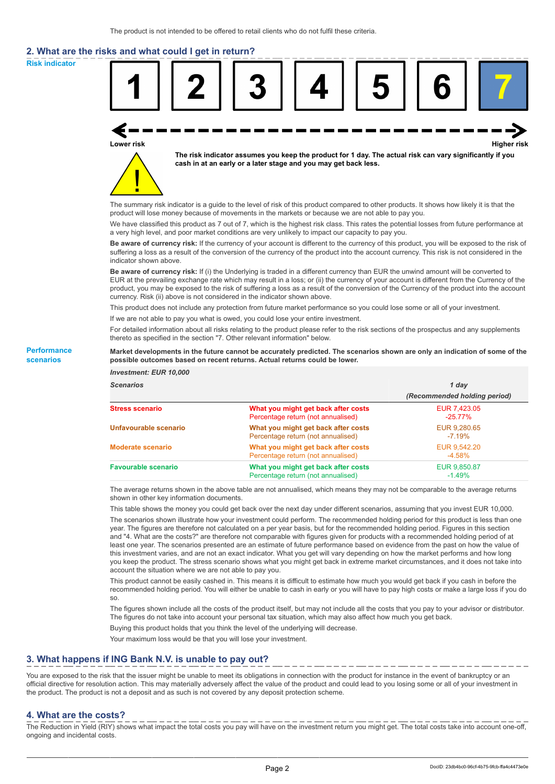# **2. What are the risks and what could I get in return?**

**Risk indicator**

**Performance scenarios**



thereto as specified in the section "7. Other relevant information" below.

#### **Market developments in the future cannot be accurately predicted. The scenarios shown are only an indication of some of the possible outcomes based on recent returns. Actual returns could be lower.**

| <b>Investment: EUR 10,000</b> |                                                                           |                              |
|-------------------------------|---------------------------------------------------------------------------|------------------------------|
| <b>Scenarios</b>              |                                                                           | 1 day                        |
|                               |                                                                           | (Recommended holding period) |
| <b>Stress scenario</b>        | What you might get back after costs<br>Percentage return (not annualised) | EUR 7,423.05<br>$-25.77\%$   |
| Unfavourable scenario         | What you might get back after costs<br>Percentage return (not annualised) | EUR 9,280.65<br>$-7.19\%$    |
| <b>Moderate scenario</b>      | What you might get back after costs<br>Percentage return (not annualised) | EUR 9,542.20<br>$-4.58%$     |
| <b>Favourable scenario</b>    | What you might get back after costs<br>Percentage return (not annualised) | EUR 9,850.87<br>$-1.49%$     |

The average returns shown in the above table are not annualised, which means they may not be comparable to the average returns shown in other key information documents.

This table shows the money you could get back over the next day under different scenarios, assuming that you invest EUR 10,000.

The scenarios shown illustrate how your investment could perform. The recommended holding period for this product is less than one year. The figures are therefore not calculated on a per year basis, but for the recommended holding period. Figures in this section and "4. What are the costs?" are therefore not comparable with figures given for products with a recommended holding period of at least one year. The scenarios presented are an estimate of future performance based on evidence from the past on how the value of this investment varies, and are not an exact indicator. What you get will vary depending on how the market performs and how long you keep the product. The stress scenario shows what you might get back in extreme market circumstances, and it does not take into account the situation where we are not able to pay you.

This product cannot be easily cashed in. This means it is difficult to estimate how much you would get back if you cash in before the recommended holding period. You will either be unable to cash in early or you will have to pay high costs or make a large loss if you do so.

The figures shown include all the costs of the product itself, but may not include all the costs that you pay to your advisor or distributor. The figures do not take into account your personal tax situation, which may also affect how much you get back.

Buying this product holds that you think the level of the underlying will decrease.

Your maximum loss would be that you will lose your investment.

## **3. What happens if ING Bank N.V. is unable to pay out?**

You are exposed to the risk that the issuer might be unable to meet its obligations in connection with the product for instance in the event of bankruptcy or an official directive for resolution action. This may materially adversely affect the value of the product and could lead to you losing some or all of your investment in the product. The product is not a deposit and as such is not covered by any deposit protection scheme.

#### **4. What are the costs?**

The Reduction in Yield (RIY) shows what impact the total costs you pay will have on the investment return you might get. The total costs take into account one-off, ongoing and incidental costs.